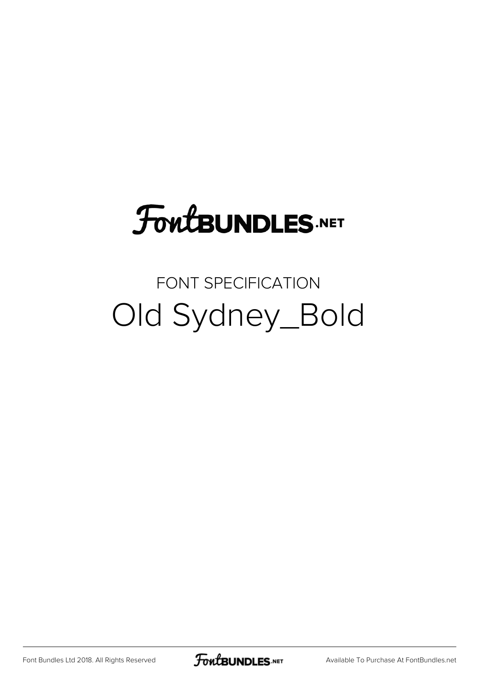# **FoutBUNDLES.NET**

#### FONT SPECIFICATION Old Sydney\_Bold

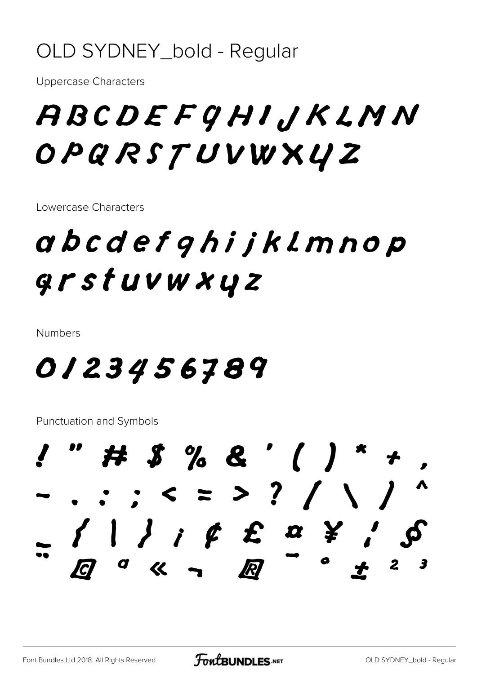#### OLD SYDNEY\_bold - Regular

**Uppercase Characters** 

## ABCDEFGHIJKLMN OPQRSTUVWXYZ

Lowercase Characters

## abcdefghijklmnop grstuvwxyz

**Numbers** 

#### 0123456789

**Punctuation and Symbols** 

# \$ % & ' ( ) \*  $-$  . : ; < = > ? / \ /  $\left\{ \begin{array}{c} 1 \end{array} \right\}$  ;  $\oint \quad \mathcal{L} \quad \alpha \quad \mathcal{L} \quad \gamma$ R  $\int dX$  $\boldsymbol{2}$ - 3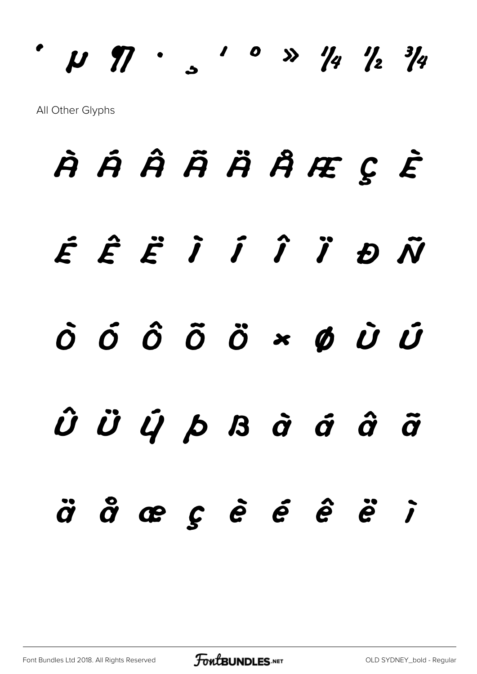# **´ µ ¶ · ¸ ¹ º » ¼ ½ ¾** All Other Glyphs

# **À Á Â Ã Ä Å Æ Ç È É Ê Ë Ì Í Î Ï Ð Ñ Ò Ó Ô Õ Ö × Ø Ù Ú Û Ü Ý Þ ß à á â ã ä å æ ç è é ê ë ì**

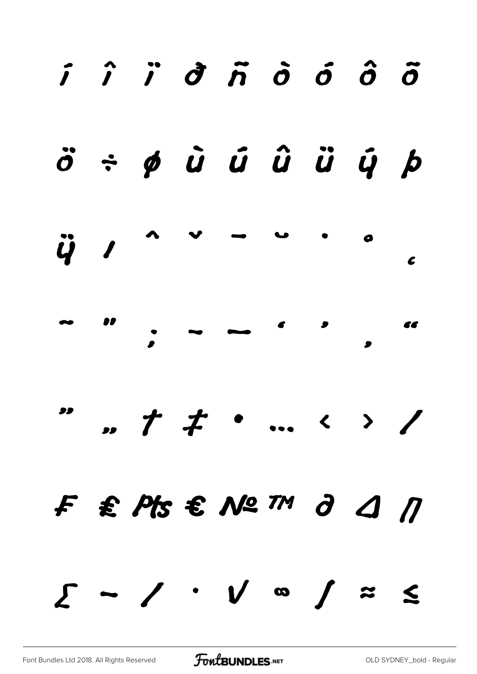